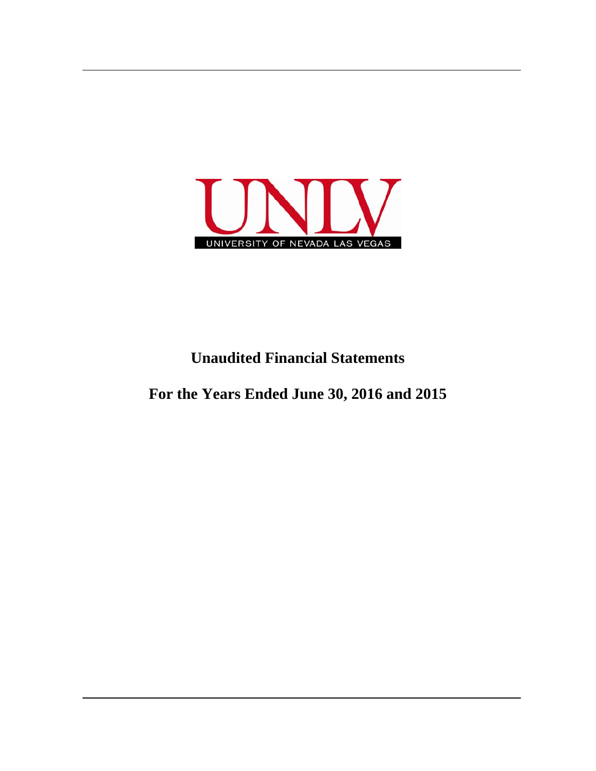

## **Unaudited Financial Statements**

**For the Years Ended June 30, 2016 and 2015**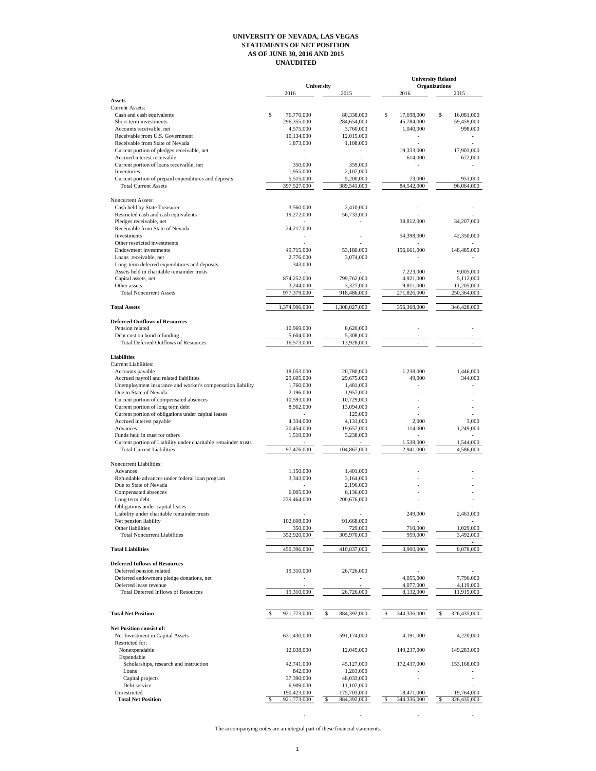## **UNIVERSITY OF NEVADA, LAS VEGAS STATEMENTS OF NET POSITION AS OF JUNE 30, 2016 AND 2015 UNAUDITED**

|                                                                            |                         |                                         |                  | <b>University Related</b>    |  |
|----------------------------------------------------------------------------|-------------------------|-----------------------------------------|------------------|------------------------------|--|
|                                                                            | 2016                    | University<br>2015                      | 2016             | <b>Organizations</b><br>2015 |  |
| <b>Assets</b>                                                              |                         |                                         |                  |                              |  |
| Current Assets:                                                            |                         |                                         |                  |                              |  |
| Cash and cash equivalents                                                  | \$<br>76,770,000        | 80,338,000                              | \$<br>17,698,000 | \$<br>16,081,000             |  |
| Short-term investments                                                     | 296,355,000             | 284,654,000                             | 45,784,000       | 59,459,000                   |  |
| Accounts receivable, net                                                   | 4,575,000               | 3,760,000                               | 1,040,000        | 998,000                      |  |
| Receivable from U.S. Government                                            | 10,134,000              | 12,015,000                              |                  |                              |  |
| Receivable from State of Nevada                                            | 1,873,000               | 1,108,000                               |                  |                              |  |
| Current portion of pledges receivable, net                                 | $\sim$                  |                                         | 19,333,000       | 17,903,000                   |  |
| Accrued interest receivable                                                |                         |                                         | 614,000          | 672,000                      |  |
| Current portion of loans receivable, net                                   | 350,000                 | 359,000                                 |                  |                              |  |
| Inventories                                                                | 1,955,000               | 2,107,000                               |                  |                              |  |
| Current portion of prepaid expenditures and deposits                       | 5,515,000               | 5,200,000                               | 73,000           | 951,000                      |  |
| <b>Total Current Assets</b>                                                | 397,527,000             | 389,541,000                             | 84,542,000       | 96,064,000                   |  |
| Noncurrent Assets:                                                         |                         |                                         |                  |                              |  |
| Cash held by State Treasurer                                               | 3,560,000               | 2,410,000                               |                  |                              |  |
| Restricted cash and cash equivalents                                       | 19,272,000              | 56,733,000                              |                  |                              |  |
| Pledges receivable, net                                                    |                         |                                         | 38,812,000       | 34,207,000                   |  |
| Receivable from State of Nevada                                            | 24,217,000              |                                         |                  |                              |  |
| Investments                                                                | ÷,                      |                                         | 54,398,000       | 42,350,000                   |  |
| Other restricted investments                                               |                         |                                         |                  |                              |  |
| <b>Endowment</b> investments                                               | 49,715,000              | 53,180,000                              | 156,661,000      | 148,485,000                  |  |
| Loans receivable, net                                                      | 2,776,000               | 3,074,000                               |                  |                              |  |
| Long-term deferred expenditures and deposits                               | 343,000                 | ÷.                                      |                  |                              |  |
| Assets held in charitable remainder trusts                                 |                         |                                         | 7,223,000        | 9,005,000                    |  |
| Capital assets, net                                                        | 874,252,000             | 799,762,000                             | 4,921,000        | 5,112,000                    |  |
| Other assets                                                               | 3,244,000               | 3,327,000                               | 9,811,000        | 11,205,000                   |  |
| <b>Total Noncurrent Assets</b>                                             | 977,379,000             | 918,486,000                             | 271,826,000      | 250,364,000                  |  |
|                                                                            |                         |                                         |                  |                              |  |
| <b>Total Assets</b>                                                        | 1,374,906,000           | 1,308,027,000                           | 356,368,000      | 346,428,000                  |  |
|                                                                            |                         |                                         |                  |                              |  |
| <b>Deferred Outflows of Resources</b>                                      | 10,969,000              |                                         |                  |                              |  |
| Pension related                                                            |                         | 8,620,000                               |                  |                              |  |
| Debt cost on bond refunding<br><b>Total Deferred Outflows of Resources</b> | 5,604,000<br>16,573,000 | 5,308,000<br>13,928,000                 |                  |                              |  |
|                                                                            |                         |                                         |                  |                              |  |
| <b>Liabilities</b>                                                         |                         |                                         |                  |                              |  |
| <b>Current Liabilities:</b>                                                |                         |                                         |                  |                              |  |
| Accounts payable                                                           | 18,053,000              | 20,780,000                              | 1,238,000        | 1,446,000                    |  |
| Accrued payroll and related liabilities                                    | 29,605,000              | 29,675,000                              | 49,000           | 344,000                      |  |
| Unemployment insurance and worker's compensation liability                 | 1,760,000               | 1,481,000                               |                  |                              |  |
| Due to State of Nevada                                                     | 2,196,000               | 1,957,000                               |                  |                              |  |
| Current portion of compensated absences                                    | 10,593,000              | 10,729,000                              |                  |                              |  |
| Current portion of long term debt                                          | 8,962,000               | 13,094,000                              |                  |                              |  |
| Current portion of obligations under capital leases                        |                         | 125,000                                 |                  |                              |  |
| Accrued interest payable                                                   | 4,334,000               | 4,131,000                               | 2,000            | 3,000                        |  |
| Advances                                                                   | 20,454,000              | 19,657,000                              | 114,000          | 1,249,000                    |  |
| Funds held in trust for others                                             | 1,519,000               | 3,238,000                               |                  |                              |  |
| Current portion of Liability under charitable remainder trusts             |                         |                                         | 1,538,000        | 1,544,000                    |  |
| <b>Total Current Liabilities</b>                                           | 97,476,000              | 104,867,000                             | 2,941,000        | 4,586,000                    |  |
|                                                                            |                         |                                         |                  |                              |  |
| Noncurrent Liabilities:                                                    |                         |                                         |                  |                              |  |
| Advances                                                                   | 1,150,000               | 1,401,000                               |                  |                              |  |
| Refundable advances under federal loan program                             | 3,343,000               | 3,164,000                               |                  |                              |  |
| Due to State of Nevada<br>Compensated absences                             | 6,005,000               | 2,196,000<br>6,136,000                  |                  |                              |  |
| Long term debt                                                             |                         |                                         |                  |                              |  |
| Obligations under capital leases                                           | 239,464,000<br>$\sim$   | 200,676,000<br>$\overline{\phantom{a}}$ |                  |                              |  |
| Liability under charitable remainder trusts                                |                         |                                         | 249,000          | 2,463,000                    |  |
| Net pension liability                                                      | 102,608,000             | 91,668,000                              |                  |                              |  |
| Other liabilities                                                          | 350,000                 | 729,000                                 | 710,000          | 1,029,000                    |  |
| <b>Total Noncurrent Liabilities</b>                                        | 352,920,000             | 305,970,000                             | 959,000          | 3,492,000                    |  |
|                                                                            |                         |                                         |                  |                              |  |
| <b>Total Liabilities</b>                                                   | 450,396,000             | 410,837,000                             | 3,900,000        | 8,078,000                    |  |
|                                                                            |                         |                                         |                  |                              |  |
| <b>Deferred Inflows of Resources</b>                                       |                         |                                         |                  |                              |  |
| Deferred pension related                                                   | 19,310,000              | 26,726,000                              |                  |                              |  |
| Deferred endowment pledge donations, net                                   |                         |                                         | 4,055,000        | 7,796,000                    |  |
| Deferred lease revenue                                                     |                         |                                         | 4,077,000        | 4,119,000                    |  |
| <b>Total Deferred Inflows of Resources</b>                                 | 19,310,000              | 26,726,000                              | 8,132,000        | 11,915,000                   |  |
|                                                                            |                         |                                         |                  |                              |  |
|                                                                            |                         |                                         |                  |                              |  |
| <b>Total Net Position</b>                                                  | 921,773,000             | 884,392,000                             | 344,336,000      | 326,435,000<br>\$            |  |
|                                                                            |                         |                                         |                  |                              |  |
| Net Position consist of:                                                   |                         |                                         |                  |                              |  |
| Net Investment in Capital Assets                                           | 631,430,000             | 591,174,000                             | 4,191,000        | 4,220,000                    |  |
| Restricted for:                                                            |                         |                                         |                  |                              |  |
| Nonexpendable                                                              | 12,038,000              | 12,045,000                              | 149,237,000      | 149,283,000                  |  |
| Expendable                                                                 | 42,741,000              |                                         | 172,437,000      | 153,168,000                  |  |
| Scholarships, research and instruction<br>Loans                            | 842,000                 | 45,127,000<br>1,203,000                 |                  |                              |  |
| Capital projects                                                           | 37,390,000              | 48,033,000                              |                  |                              |  |
| Debt service                                                               | 6,909,000               | 11,107,000                              |                  |                              |  |
| Unrestricted                                                               | 190,423,000             | 175,703,000                             | 18,471,000       | 19,764,000                   |  |
| <b>Total Net Position</b>                                                  | 921,773,000             | 884,392,000                             | 344,336,000      | 326,435,000                  |  |
|                                                                            |                         |                                         |                  |                              |  |
|                                                                            |                         |                                         |                  |                              |  |

The accompanying notes are an integral part of these financial statements.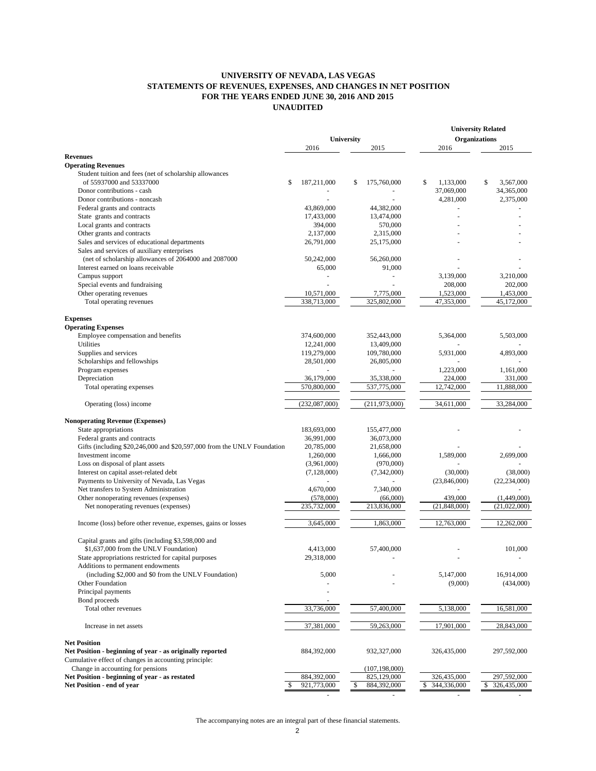## **UNIVERSITY OF NEVADA, LAS VEGAS STATEMENTS OF REVENUES, EXPENSES, AND CHANGES IN NET POSITION FOR THE YEARS ENDED JUNE 30, 2016 AND 2015 UNAUDITED**

|                                                                                     |                      |                          |                               | <b>University Related</b> |
|-------------------------------------------------------------------------------------|----------------------|--------------------------|-------------------------------|---------------------------|
|                                                                                     |                      | <b>University</b>        | <b>Organizations</b>          |                           |
|                                                                                     | 2016                 | 2015                     | 2016                          | 2015                      |
| <b>Revenues</b>                                                                     |                      |                          |                               |                           |
| <b>Operating Revenues</b>                                                           |                      |                          |                               |                           |
| Student tuition and fees (net of scholarship allowances<br>of 55937000 and 53337000 |                      |                          |                               | 3.567.000                 |
|                                                                                     | \$<br>187,211,000    | 175,760,000<br>\$        | 1,133,000<br>\$<br>37,069,000 | S                         |
| Donor contributions - cash                                                          |                      |                          |                               | 34,365,000                |
| Donor contributions - noncash                                                       |                      |                          | 4,281,000                     | 2,375,000                 |
| Federal grants and contracts                                                        | 43,869,000           | 44,382,000               |                               |                           |
| State grants and contracts<br>Local grants and contracts                            | 17,433,000           | 13,474,000<br>570,000    |                               |                           |
| Other grants and contracts                                                          | 394,000<br>2,137,000 | 2,315,000                | ÷.                            |                           |
| Sales and services of educational departments                                       | 26,791,000           | 25,175,000               |                               |                           |
| Sales and services of auxiliary enterprises                                         |                      |                          |                               |                           |
| (net of scholarship allowances of 2064000 and 2087000                               | 50,242,000           | 56,260,000               |                               |                           |
| Interest earned on loans receivable                                                 | 65,000               | 91,000                   |                               |                           |
| Campus support                                                                      |                      | $\overline{\phantom{a}}$ | 3,139,000                     | 3,210,000                 |
| Special events and fundraising                                                      |                      | ÷,                       | 208,000                       | 202,000                   |
| Other operating revenues                                                            | 10,571,000           | 7,775,000                | 1,523,000                     | 1,453,000                 |
| Total operating revenues                                                            | 338,713,000          | 325,802,000              | 47,353,000                    | 45,172,000                |
|                                                                                     |                      |                          |                               |                           |
| <b>Expenses</b>                                                                     |                      |                          |                               |                           |
| <b>Operating Expenses</b>                                                           |                      |                          |                               |                           |
| Employee compensation and benefits                                                  | 374,600,000          | 352,443,000              | 5,364,000                     | 5,503,000                 |
| Utilities                                                                           | 12,241,000           | 13,409,000               |                               |                           |
| Supplies and services                                                               | 119,279,000          | 109,780,000              | 5,931,000                     | 4,893,000                 |
| Scholarships and fellowships                                                        | 28,501,000           | 26,805,000               |                               |                           |
| Program expenses                                                                    |                      |                          | 1,223,000                     | 1,161,000                 |
| Depreciation                                                                        | 36,179,000           | 35,338,000               | 224,000                       | 331,000                   |
| Total operating expenses                                                            | 570,800,000          | 537,775,000              | 12,742,000                    | 11,888,000                |
|                                                                                     |                      |                          |                               |                           |
| Operating (loss) income                                                             | (232,087,000)        | (211, 973, 000)          | 34,611,000                    | 33,284,000                |
| <b>Nonoperating Revenue (Expenses)</b>                                              |                      |                          |                               |                           |
| State appropriations                                                                | 183,693,000          | 155,477,000              |                               |                           |
| Federal grants and contracts                                                        | 36,991,000           | 36,073,000               |                               |                           |
| Gifts (including \$20,246,000 and \$20,597,000 from the UNLV Foundation             | 20,785,000           | 21,658,000               |                               |                           |
| Investment income                                                                   | 1,260,000            | 1,666,000                | 1,589,000                     | 2,699,000                 |
| Loss on disposal of plant assets                                                    | (3,961,000)          | (970,000)                |                               |                           |
| Interest on capital asset-related debt                                              | (7,128,000)          | (7,342,000)              | (30,000)                      | (38,000)                  |
| Payments to University of Nevada, Las Vegas                                         |                      |                          | (23,846,000)                  | (22, 234, 000)            |
| Net transfers to System Administration                                              | 4,670,000            | 7,340,000                |                               |                           |
| Other nonoperating revenues (expenses)                                              | (578,000)            | (66,000)                 | 439,000                       | (1,449,000)               |
| Net nonoperating revenues (expenses)                                                | 235,732,000          | 213,836,000              | (21, 848, 000)                | (21,022,000)              |
|                                                                                     |                      |                          |                               |                           |
| Income (loss) before other revenue, expenses, gains or losses                       | 3,645,000            | 1,863,000                | 12,763,000                    | 12,262,000                |
|                                                                                     |                      |                          |                               |                           |
| Capital grants and gifts (including \$3,598,000 and                                 |                      |                          |                               |                           |
| \$1,637,000 from the UNLV Foundation)                                               | 4,413,000            | 57,400,000               |                               | 101,000                   |
| State appropriations restricted for capital purposes                                | 29,318,000           |                          |                               |                           |
| Additions to permanent endowments                                                   |                      |                          |                               |                           |
| (including \$2,000 and \$0 from the UNLV Foundation)                                | 5,000                |                          | 5,147,000                     | 16,914,000                |
| Other Foundation                                                                    |                      |                          | (9,000)                       | (434,000)                 |
| Principal payments                                                                  |                      |                          |                               |                           |
| Bond proceeds                                                                       |                      |                          |                               |                           |
| Total other revenues                                                                | 33,736,000           | 57,400,000               | 5,138,000                     | 16,581,000                |
|                                                                                     |                      |                          |                               |                           |
| Increase in net assets                                                              | 37,381,000           | 59,263,000               | 17,901,000                    | 28,843,000                |
| <b>Net Position</b>                                                                 |                      |                          |                               |                           |
| Net Position - beginning of year - as originally reported                           | 884,392,000          | 932,327,000              | 326,435,000                   | 297,592,000               |
| Cumulative effect of changes in accounting principle:                               |                      |                          |                               |                           |
| Change in accounting for pensions                                                   |                      | (107, 198, 000)          |                               |                           |
| Net Position - beginning of year - as restated                                      | 884,392,000          | 825,129,000              | 326,435,000                   | 297,592,000               |
| Net Position - end of year                                                          | 921,773,000          | 884,392,000<br>\$        | 344,336,000<br>\$             | 326,435,000<br>S          |
|                                                                                     |                      |                          |                               |                           |

The accompanying notes are an integral part of these financial statements.